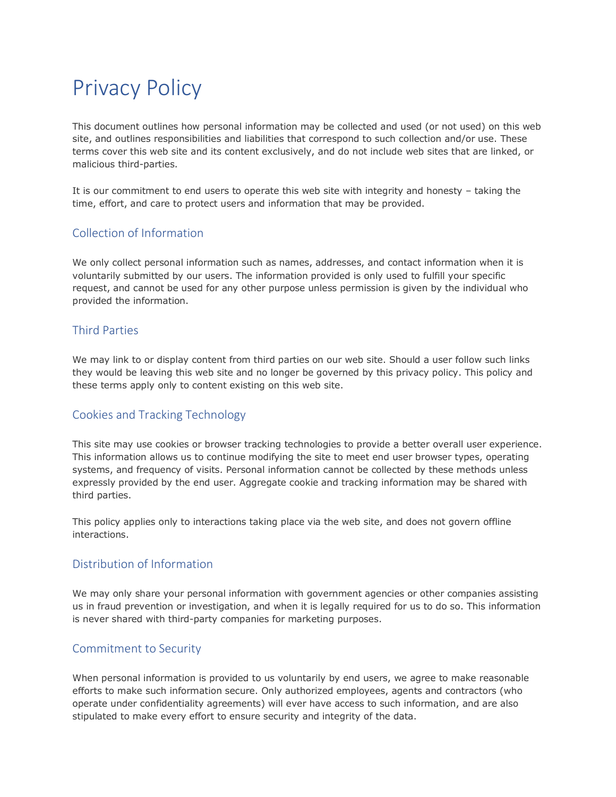# Privacy Policy

This document outlines how personal information may be collected and used (or not used) on this web site, and outlines responsibilities and liabilities that correspond to such collection and/or use. These terms cover this web site and its content exclusively, and do not include web sites that are linked, or malicious third-parties.

It is our commitment to end users to operate this web site with integrity and honesty – taking the time, effort, and care to protect users and information that may be provided.

# Collection of Information

We only collect personal information such as names, addresses, and contact information when it is voluntarily submitted by our users. The information provided is only used to fulfill your specific request, and cannot be used for any other purpose unless permission is given by the individual who provided the information.

## Third Parties

We may link to or display content from third parties on our web site. Should a user follow such links they would be leaving this web site and no longer be governed by this privacy policy. This policy and these terms apply only to content existing on this web site.

## Cookies and Tracking Technology

This site may use cookies or browser tracking technologies to provide a better overall user experience. This information allows us to continue modifying the site to meet end user browser types, operating systems, and frequency of visits. Personal information cannot be collected by these methods unless expressly provided by the end user. Aggregate cookie and tracking information may be shared with third parties.

This policy applies only to interactions taking place via the web site, and does not govern offline interactions.

#### Distribution of Information

We may only share your personal information with government agencies or other companies assisting us in fraud prevention or investigation, and when it is legally required for us to do so. This information is never shared with third-party companies for marketing purposes.

#### Commitment to Security

When personal information is provided to us voluntarily by end users, we agree to make reasonable efforts to make such information secure. Only authorized employees, agents and contractors (who operate under confidentiality agreements) will ever have access to such information, and are also stipulated to make every effort to ensure security and integrity of the data.